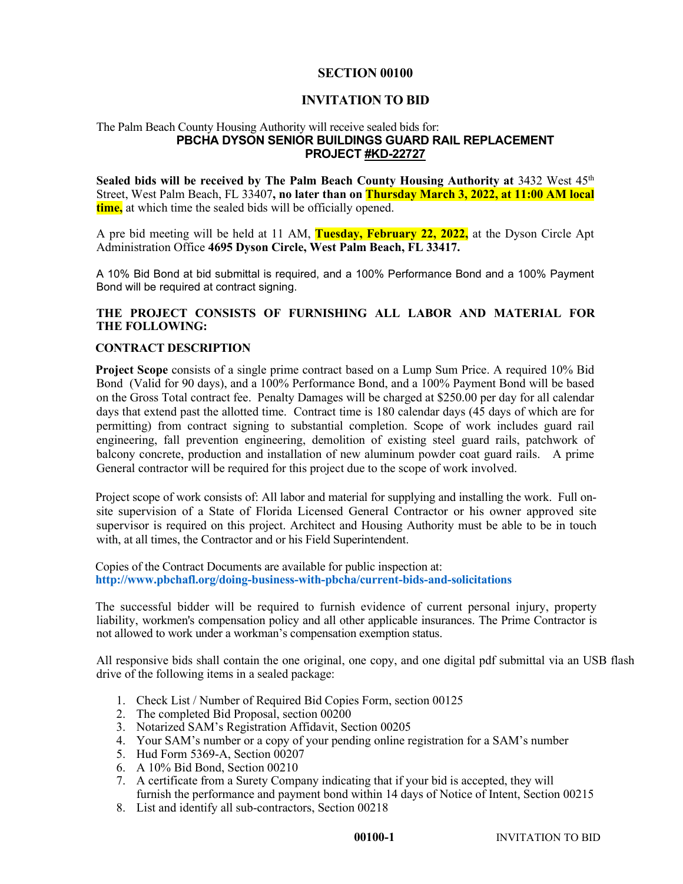### **SECTION 00100**

## **INVITATION TO BID**

#### The Palm Beach County Housing Authority will receive sealed bids for: **PBCHA DYSON SENIOR BUILDINGS GUARD RAIL REPLACEMENT PROJECT #KD-22727**

**Sealed bids will be received by The Palm Beach County Housing Authority at 3432 West 45<sup>th</sup>** Street, West Palm Beach, FL 33407**, no later than on Thursday March 3, 2022, at 11:00 AM local time,** at which time the sealed bids will be officially opened.

A pre bid meeting will be held at 11 AM, **Tuesday, February 22, 2022,** at the Dyson Circle Apt Administration Office **4695 Dyson Circle, West Palm Beach, FL 33417.**

A 10% Bid Bond at bid submittal is required, and a 100% Performance Bond and a 100% Payment Bond will be required at contract signing.

# **THE PROJECT CONSISTS OF FURNISHING ALL LABOR AND MATERIAL FOR THE FOLLOWING:**

### **CONTRACT DESCRIPTION**

**Project Scope** consists of a single prime contract based on a Lump Sum Price. A required 10% Bid Bond (Valid for 90 days), and a 100% Performance Bond, and a 100% Payment Bond will be based on the Gross Total contract fee. Penalty Damages will be charged at \$250.00 per day for all calendar days that extend past the allotted time. Contract time is 180 calendar days (45 days of which are for permitting) from contract signing to substantial completion. Scope of work includes guard rail engineering, fall prevention engineering, demolition of existing steel guard rails, patchwork of balcony concrete, production and installation of new aluminum powder coat guard rails. A prime General contractor will be required for this project due to the scope of work involved.

Project scope of work consists of: All labor and material for supplying and installing the work. Full onsite supervision of a State of Florida Licensed General Contractor or his owner approved site supervisor is required on this project. Architect and Housing Authority must be able to be in touch with, at all times, the Contractor and or his Field Superintendent.

Copies of the Contract Documents are available for public inspection at: **http://www.pbchafl.org/doing-business-with-pbcha/current-bids-and-solicitations** 

The successful bidder will be required to furnish evidence of current personal injury, property liability, workmen's compensation policy and all other applicable insurances. The Prime Contractor is not allowed to work under a workman's compensation exemption status.

All responsive bids shall contain the one original, one copy, and one digital pdf submittal via an USB flash drive of the following items in a sealed package:

- 1. Check List / Number of Required Bid Copies Form, section 00125
- 2. The completed Bid Proposal, section 00200
- 3. Notarized SAM's Registration Affidavit, Section 00205
- 4. Your SAM's number or a copy of your pending online registration for a SAM's number
- 5. Hud Form 5369-A, Section 00207
- 6. A 10% Bid Bond, Section 00210
- 7. A certificate from a Surety Company indicating that if your bid is accepted, they will furnish the performance and payment bond within 14 days of Notice of Intent, Section 00215
- 8. List and identify all sub-contractors, Section 00218